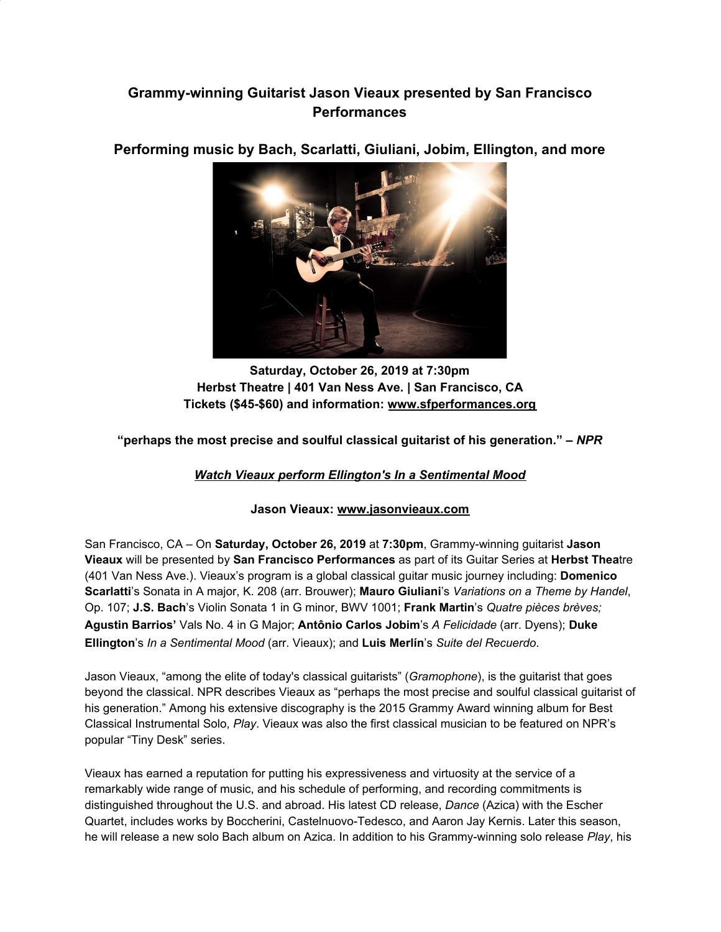## **Grammy-winning Guitarist Jason Vieaux presented by San Francisco Performances**



**Performing music by Bach, Scarlatti, Giuliani, Jobim, Ellington, and more**

**Saturday, October 26, 2019 at 7:30pm Herbst Theatre | 401 Van Ness Ave. | San Francisco, CA Tickets (\$45-\$60) and information: [www.sfperformances.org](https://u7061146.ct.sendgrid.net/wf/click?upn=84Em28S1K9SvtzcUtu04EmxpAijuRuOcFf0uM82UE5SaHpgkYUhh5kEbqcL8u94-2B_DruDjhchMBr5xQkz3h1qcOnjZc-2BCsAVhraQ7DxYhbA2-2BHLQf-2BHKWaWi2FTM7QHo-2Fd7eCMDRMAhfd2mcWSs-2FpzNW9MmuPwV7rH-2FbDd7DdSSZiYUzH4G9GtuvY1ckRBwZm5FmjMHFqQ48lAwYvOya3-2BqOkObGtUrtwHl4qNZ4IYKwpRoFfyCX3YC8c8xvaw6DVhPAnL63NE6tBGZC-2FHcJNt1gfpL92o-2Bt0xMduYs-2BK-2BJbkqB-2BeSoyMrdibi-2FsDyRAND2i0sNFOjOJ9Sj-2FU-2Fnyc5ADpuR7LTdefLq5AI-2FJguk2bIFY4ZK0t5eKDS4rWvLk8PcJlrxJrc0ZWCVcTOp7xcHm0Co-2Fz4OnUTZnOEIZFdqU-3D)**

**"perhaps the most precise and soulful classical guitarist of his generation." –** *NPR*

*[Watch Vieaux perform Ellington's In a Sentimental Mood](https://u7061146.ct.sendgrid.net/wf/click?upn=84Em28S1K9SvtzcUtu04Ej6IZNfQQQhHW9os6GkyPSFCRlqBO0R292iRTu9TE2bpweRG05nTek1sDwc1oyVhLw-3D-3D_DruDjhchMBr5xQkz3h1qcOnjZc-2BCsAVhraQ7DxYhbA2-2BHLQf-2BHKWaWi2FTM7QHo-2Fd7eCMDRMAhfd2mcWSs-2FpzNW9MmuPwV7rH-2FbDd7DdSSZiYUzH4G9GtuvY1ckRBwZm5FmjMHFqQ48lAwYvOya3-2BqOkObGtUrtwHl4qNZ4IYKwpRoFfyCX3YC8c8xvaw6DVhPAnL63NE6tBGZC-2FHcJNt5VIEgaOsYLV2SgX9tlIbv6A3-2FIQTVKSBnyQfc3ZZuerrqph3RsLONVVgHmJ8ggscFJmOZ2ey5-2FrvLvp470mFAZMTqPgPdOF4-2BzlUBCW-2BPQZU1Km4tXydxz6Cjd4LFi-2Bz-2B22F7rvSWfRPO1DWdNNBzE-3D)*

## **Jason Vieaux: [www.jasonvieaux.com](https://u7061146.ct.sendgrid.net/wf/click?upn=84Em28S1K9SvtzcUtu04EtUBksjQGDLI-2BFjAG1j6R82w1XhwW2-2BlmdMa-2Fs2asdj9_DruDjhchMBr5xQkz3h1qcOnjZc-2BCsAVhraQ7DxYhbA2-2BHLQf-2BHKWaWi2FTM7QHo-2Fd7eCMDRMAhfd2mcWSs-2FpzNW9MmuPwV7rH-2FbDd7DdSSZiYUzH4G9GtuvY1ckRBwZm5FmjMHFqQ48lAwYvOya3-2BqOkObGtUrtwHl4qNZ4IYKwpRoFfyCX3YC8c8xvaw6DVhPAnL63NE6tBGZC-2FHcJNtwarMi2ibWtnAUNW1XBNnXW4tT-2BkcRbuVixGYkP1JP2Xw6NOh9h9O7tJmoy95FQkARDIEVOAN0oiCN-2FfVOabmnamlzwG2nUKXpKVSZaQK05b5R2svaSB-2FdF8UrI7sGleWE3GCcj1XerTQZ8IPaI7m0c-3D)**

San Francisco, CA – On **Saturday, October 26, 2019** at **7:30pm**, Grammy-winning guitarist **Jason Vieaux** will be presented by **San Francisco Performances** as part of its Guitar Series at **Herbst Thea**tre (401 Van Ness Ave.). Vieaux's program is a global classical guitar music journey including: **Domenico Scarlatti**'s Sonata in A major, K. 208 (arr. Brouwer); **Mauro Giuliani**'s *Variations on a Theme by Handel*, Op. 107; **J.S. Bach**'s Violin Sonata 1 in G minor, BWV 1001; **Frank Martin**'s *Quatre pièces brèves;* **Agustin Barrios'** Vals No. 4 in G Major; **Antônio Carlos Jobim**'s *A Felicidade* (arr. Dyens); **Duke Ellington**'s *In a Sentimental Mood* (arr. Vieaux); and **Luis Merlín**'s *Suite del Recuerdo*.

Jason Vieaux, "among the elite of today's classical guitarists" (*Gramophone*), is the guitarist that goes beyond the classical. NPR describes Vieaux as "perhaps the most precise and soulful classical guitarist of his generation." Among his extensive discography is the 2015 Grammy Award winning album for Best Classical Instrumental Solo, *Play*. Vieaux was also the first classical musician to be featured on NPR's popular "Tiny Desk" series.

Vieaux has earned a reputation for putting his expressiveness and virtuosity at the service of a remarkably wide range of music, and his schedule of performing, and recording commitments is distinguished throughout the U.S. and abroad. His latest CD release, *Dance* (Azica) with the Escher Quartet, includes works by Boccherini, Castelnuovo-Tedesco, and Aaron Jay Kernis. Later this season, he will release a new solo Bach album on Azica. In addition to his Grammy-winning solo release *Play*, his